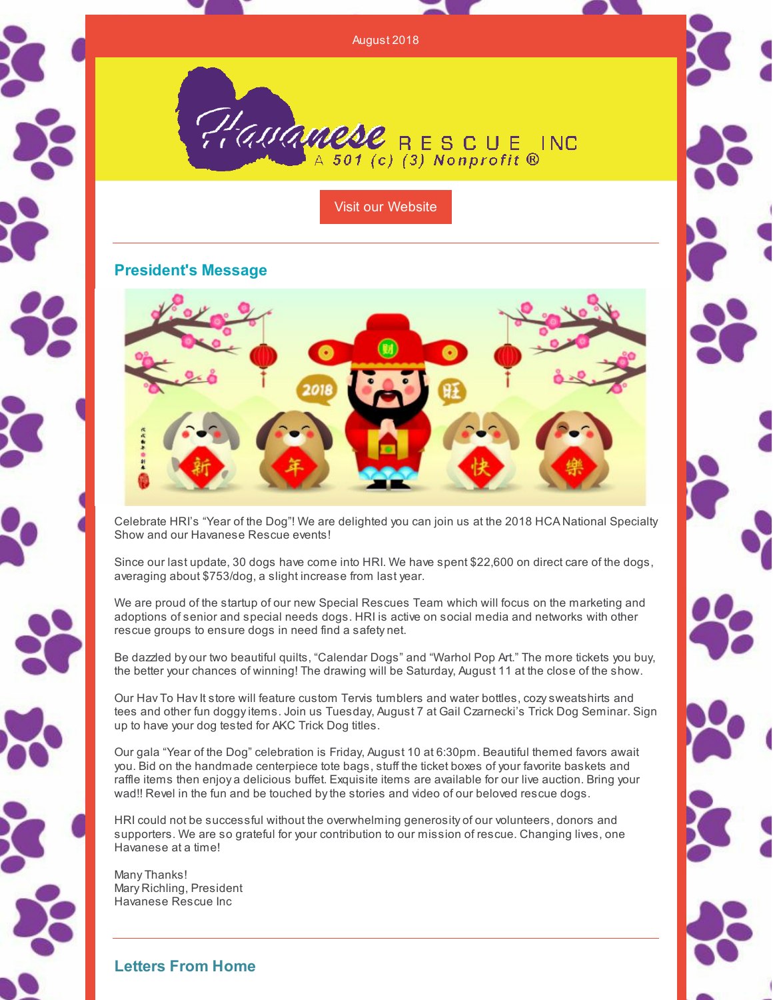August 2018

Haumnese RESCUE INC

Visit our [Website](http://havaneserescue.com)

# **President's Message**



Celebrate HRI's "Year of the Dog"! We are delighted you can join us at the 2018 HCA National Specialty Show and our Havanese Rescue events!

Since our last update, 30 dogs have come into HRI. We have spent \$22,600 on direct care of the dogs, averaging about \$753/dog, a slight increase from last year.

We are proud of the startup of our new Special Rescues Team which will focus on the marketing and adoptions of senior and special needs dogs. HRI is active on social media and networks with other rescue groups to ensure dogs in need find a safety net.

Be dazzled by our two beautiful quilts, "Calendar Dogs" and "Warhol Pop Art." The more tickets you buy, the better your chances of winning! The drawing will be Saturday, August 11 at the close of the show.

Our Hav To Hav It store will feature custom Tervis tumblers and water bottles, cozy sweatshirts and tees and other fun doggy items. Join us Tuesday, August 7 at Gail Czarnecki's Trick Dog Seminar. Sign up to have your dog tested for AKC Trick Dog titles.

Our gala "Year of the Dog" celebration is Friday, August 10 at 6:30pm. Beautiful themed favors await you. Bid on the handmade centerpiece tote bags, stuff the ticket boxes of your favorite baskets and raffle items then enjoy a delicious buffet. Exquisite items are available for our live auction. Bring your wad!! Revel in the fun and be touched bythe stories and video of our beloved rescue dogs.

HRI could not be successful without the overwhelming generosity of our volunteers, donors and supporters. We are so grateful for your contribution to our mission of rescue. Changing lives, one Havanese at a time!

Many Thanks! Mary Richling, President Havanese Rescue Inc

**Letters From Home**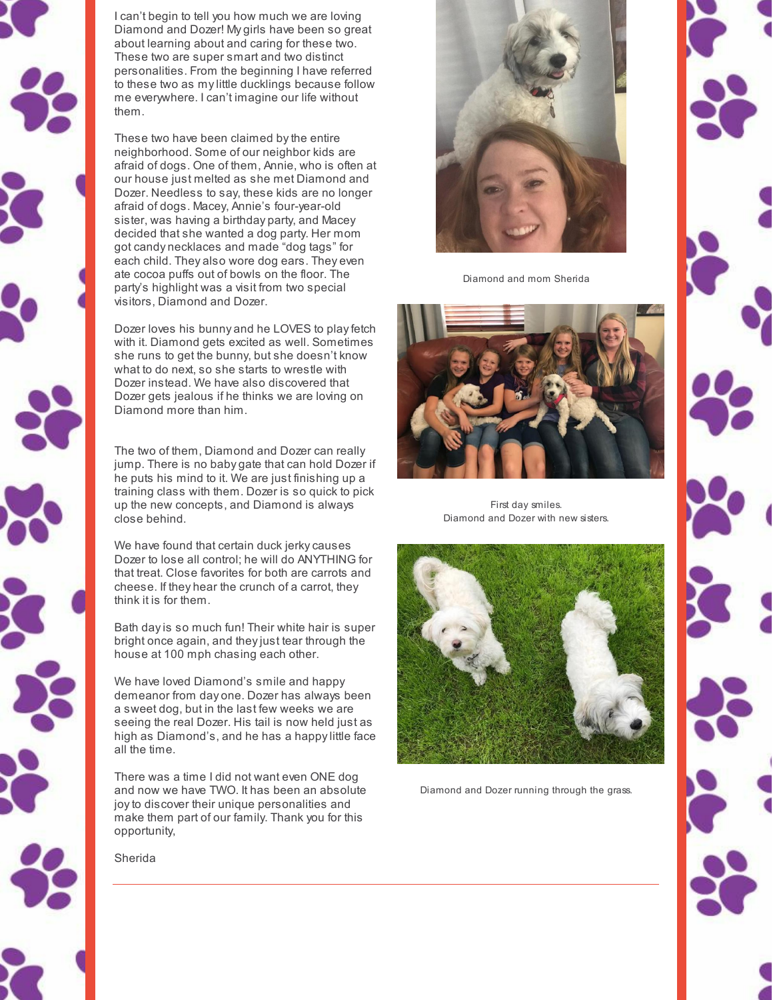

I can't begin to tell you how much we are loving Diamond and Dozer! My girls have been so great about learning about and caring for these two. These two are super smart and two distinct personalities. From the beginning I have referred to these two as mylittle ducklings because follow me everywhere. I can't imagine our life without them.

These two have been claimed bythe entire neighborhood. Some of our neighbor kids are afraid of dogs. One of them, Annie, who is often at our house just melted as she met Diamond and Dozer. Needless to say, these kids are no longer afraid of dogs. Macey, Annie's four-year-old sister, was having a birthday party, and Macey decided that she wanted a dog party. Her mom got candy necklaces and made "dog tags" for each child. They also wore dog ears. They even ate cocoa puffs out of bowls on the floor. The party's highlight was a visit from two special visitors, Diamond and Dozer.

Dozer loves his bunny and he LOVES to playfetch with it. Diamond gets excited as well. Sometimes she runs to get the bunny, but she doesn't know what to do next, so she starts to wrestle with Dozer instead. We have also discovered that Dozer gets jealous if he thinks we are loving on Diamond more than him.

The two of them, Diamond and Dozer can really jump. There is no baby gate that can hold Dozer if he puts his mind to it. We are just finishing up a training class with them. Dozer is so quick to pick up the new concepts, and Diamond is always close behind.

We have found that certain duck jerky causes Dozer to lose all control; he will do ANYTHING for that treat. Close favorites for both are carrots and cheese. If they hear the crunch of a carrot, they think it is for them.

Bath dayis so much fun! Their white hair is super bright once again, and theyjust tear through the house at 100 mph chasing each other.

We have loved Diamond's smile and happy demeanor from day one. Dozer has always been a sweet dog, but in the last few weeks we are seeing the real Dozer. His tail is now held just as high as Diamond's, and he has a happylittle face all the time.

There was a time I did not want even ONE dog and now we have TWO. It has been an absolute joyto discover their unique personalities and make them part of our family. Thank you for this opportunity,



Diamond and mom Sherida



First day smiles. Diamond and Dozer with new sisters.



Diamond and Dozer running through the grass.



Sherida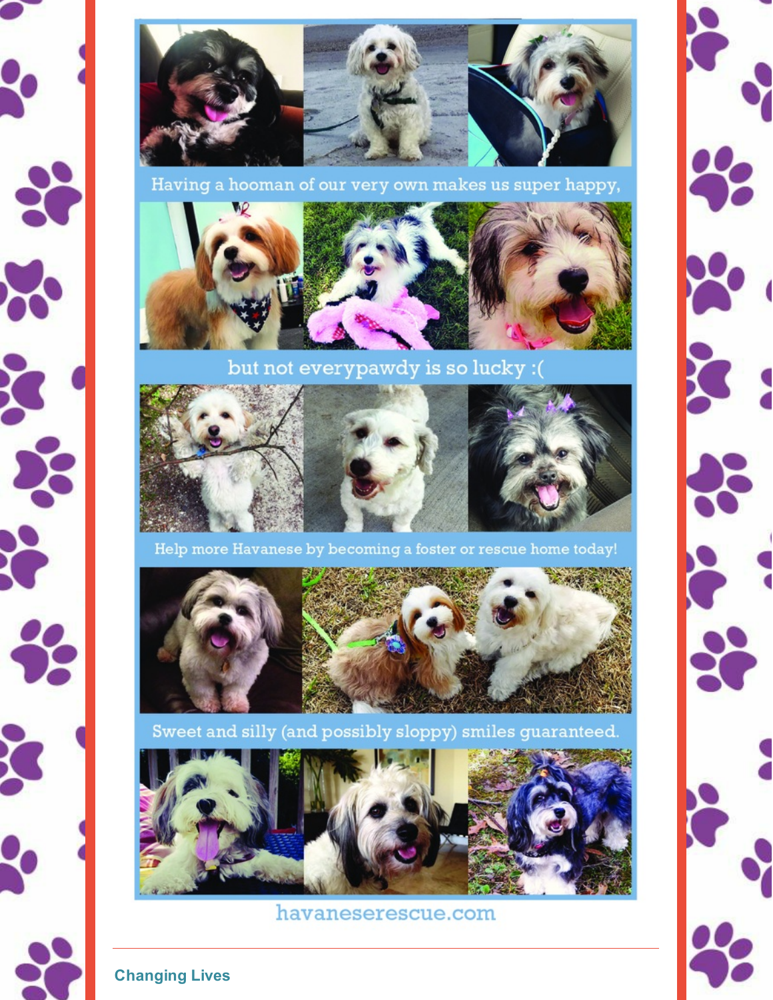



Having a hooman of our very own makes us super happy,



but not everypawdy is so lucky: (



Help more Havanese by becoming a foster or rescue home today!



Sweet and silly (and possibly sloppy) smiles guaranteed.



havaneserescue.com

**Changing Lives**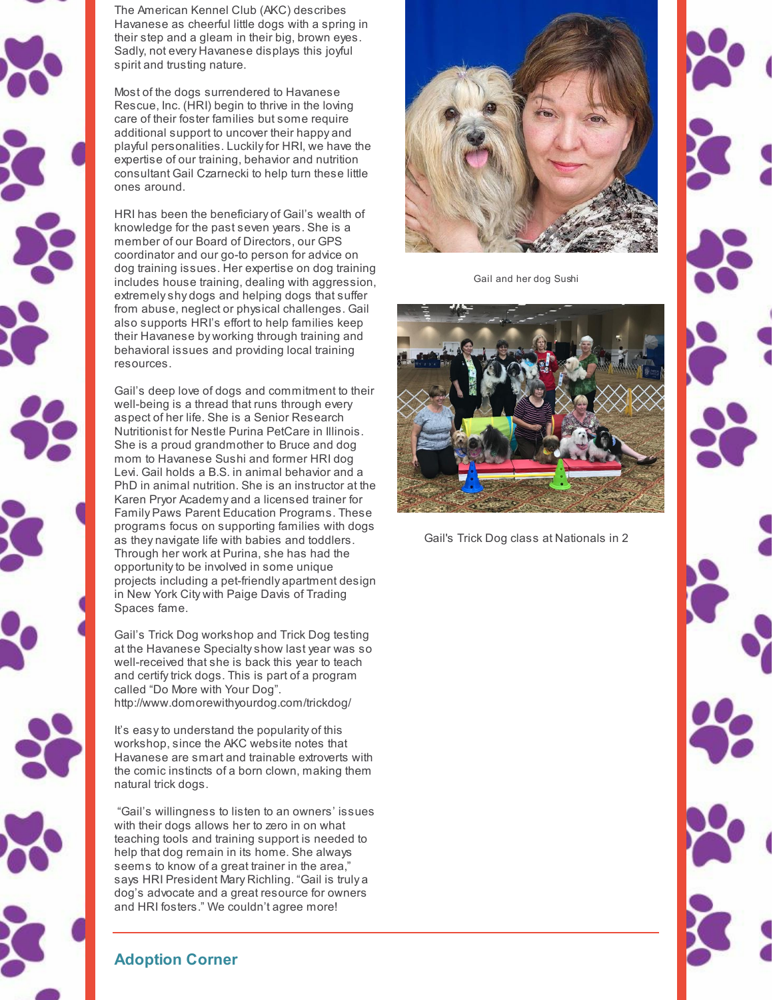

The American Kennel Club (AKC) describes Havanese as cheerful little dogs with a spring in their step and a gleam in their big, brown eyes. Sadly, not every Havanese displays this joyful spirit and trusting nature.

Most of the dogs surrendered to Havanese Rescue, Inc. (HRI) begin to thrive in the loving care of their foster families but some require additional support to uncover their happy and playful personalities. Luckilyfor HRI, we have the expertise of our training, behavior and nutrition consultant Gail Czarnecki to help turn these little ones around.

HRI has been the beneficiary of Gail's wealth of knowledge for the past seven years. She is a member of our Board of Directors, our GPS coordinator and our go-to person for advice on dog training issues. Her expertise on dog training includes house training, dealing with aggression, extremelyshy dogs and helping dogs that suffer from abuse, neglect or physical challenges. Gail also supports HRI's effort to help families keep their Havanese by working through training and behavioral issues and providing local training resources.

Gail's deep love of dogs and commitment to their well-being is a thread that runs through every aspect of her life. She is a Senior Research Nutritionist for Nestle Purina PetCare in Illinois. She is a proud grandmother to Bruce and dog mom to Havanese Sushi and former HRI dog Levi. Gail holds a B.S. in animal behavior and a PhD in animal nutrition. She is an instructor at the Karen Pryor Academy and a licensed trainer for Family Paws Parent Education Programs. These programs focus on supporting families with dogs as they navigate life with babies and toddlers. Through her work at Purina, she has had the opportunityto be involved in some unique projects including a pet-friendly apartment design in New York City with Paige Davis of Trading Spaces fame.

Gail's Trick Dog workshop and Trick Dog testing at the Havanese Specialtyshow last year was so well-received that she is back this year to teach and certifytrick dogs. This is part of a program called "Do More with Your Dog". http://www.domorewithyourdog.com/trickdog/

It's easyto understand the popularity of this workshop, since the AKC website notes that Havanese are smart and trainable extroverts with the comic instincts of a born clown, making them natural trick dogs.

"Gail's willingness to listen to an owners' issues with their dogs allows her to zero in on what teaching tools and training support is needed to help that dog remain in its home. She always seems to know of a great trainer in the area," says HRI President Mary Richling. "Gail is truly a dog's advocate and a great resource for owners and HRI fosters." We couldn't agree more!



Gail and her dog Sushi



Gail's Trick Dog class at Nationals in 2



# **Adoption Corner**